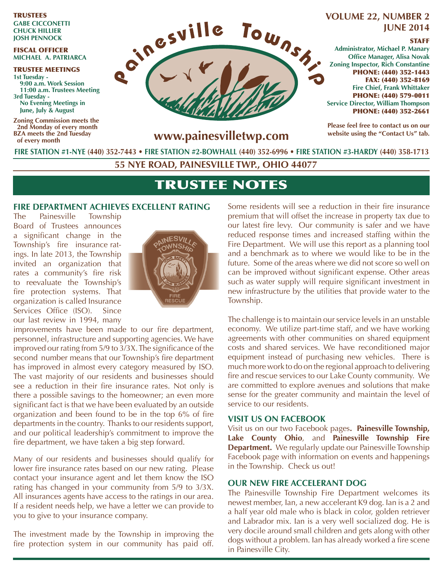TRUSTEES **GABE CICCONETTI CHUCK HILLIER JOSH PENNOCK**

#### FISCAL OFFICER **MICHAEL A. PATRIARCA**

TRUSTEE MEETINGS **1st Tuesday - 9:00 a.m. Work Session 11:00 a.m. Trustees Meeting 3rd Tuesday - No Evening Meetings in June, July & August**

**Zoning Commission meets the 2nd Monday of every month BZA meets the 2nd Tuesday of every month**



# **JUNE 2014**

#### STAFF

**Administrator, Michael P. Manary Office Manager, Alisa Novak Zoning Inspector, Rich Constantine** PHONE: (440) 352-1443 FAX: (440) 352-8169 **Fire Chief, Frank Whittaker** PHONE: (440) 579-0011 **Service Director, William Thompson** PHONE: (440) 352-2661

**Please feel free to contact us on our website using the "Contact Us" tab.**

**www.painesvilletwp.com**

**FIRE STATION #1-NYE (440) 352-7443** • **FIRE STATION #2-BOWHALL (440) 352-6996 • FIRE STATION #3-HARDY (440) 358-1713**

**55 NYE ROAD, PAINESVILLE TWP., OHIO 44077**

# TRUSTEE NOTES

### **FIRE DEPARTMENT ACHIEVES EXCELLENT RATING**

The Painesville Township Board of Trustees announces a significant change in the Township's fire insurance ratings. In late 2013, the Township invited an organization that rates a community's fire risk to reevaluate the Township's fire protection systems. That organization is called Insurance Services Office (ISO). Since our last review in 1994, many



improvements have been made to our fire department, personnel, infrastructure and supporting agencies. We have improved our rating from  $5/9$  to  $3/3X$ . The significance of the second number means that our Township's fire department has improved in almost every category measured by ISO. The vast majority of our residents and businesses should see a reduction in their fire insurance rates. Not only is there a possible savings to the homeowner; an even more significant fact is that we have been evaluated by an outside organization and been found to be in the top  $6\%$  of fire departments in the country. Thanks to our residents support, and our political leadership's commitment to improve the fire department, we have taken a big step forward.

Many of our residents and businesses should qualify for lower fire insurance rates based on our new rating. Please contact your insurance agent and let them know the ISO rating has changed in your community from 5/9 to 3/3X. All insurances agents have access to the ratings in our area. If a resident needs help, we have a letter we can provide to you to give to your insurance company.

The investment made by the Township in improving the fire protection system in our community has paid off. Some residents will see a reduction in their fire insurance premium that will offset the increase in property tax due to our latest fire levy. Our community is safer and we have reduced response times and increased staffing within the Fire Department. We will use this report as a planning tool and a benchmark as to where we would like to be in the future. Some of the areas where we did not score so well on can be improved without significant expense. Other areas such as water supply will require significant investment in new infrastructure by the utilities that provide water to the Township.

The challenge is to maintain our service levels in an unstable economy. We utilize part-time staff, and we have working agreements with other communities on shared equipment costs and shared services. We have reconditioned major equipment instead of purchasing new vehicles. There is much more work to do on the regional approach to delivering fire and rescue services to our Lake County community. We are committed to explore avenues and solutions that make sense for the greater community and maintain the level of service to our residents.

#### **VISIT US ON FACEBOOK**

Visit us on our two Facebook pages**. Painesville Township, Lake County Ohio**, and **Painesville Township Fire Department.** We regularly update our Painesville Township Facebook page with information on events and happenings in the Township. Check us out!

#### **OUR NEW FIRE ACCELERANT DOG**

The Painesville Township Fire Department welcomes its newest member, Ian, a new accelerant K9 dog. Ian is a 2 and a half year old male who is black in color, golden retriever and Labrador mix. Ian is a very well socialized dog. He is very docile around small children and gets along with other dogs without a problem. Ian has already worked a fire scene in Painesville City.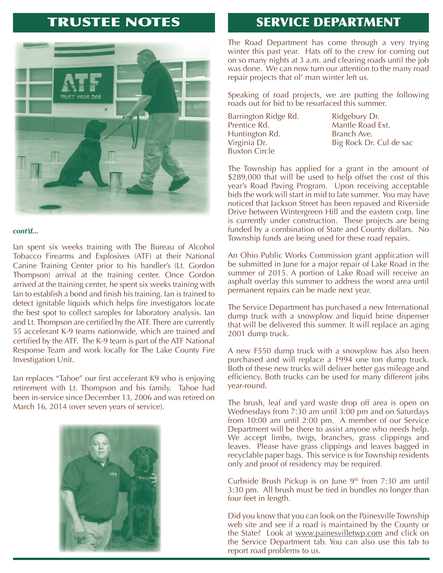

#### *cont'd...*

Ian spent six weeks training with The Bureau of Alcohol Tobacco Firearms and Explosives (ATF) at their National Canine Training Center prior to his handler's (Lt. Gordon Thompson) arrival at the training center. Once Gordon arrived at the training center, he spent six weeks training with lan to establish a bond and finish his training. Ian is trained to detect ignitable liquids which helps fire investigators locate the best spot to collect samples for laboratory analysis. Ian and Lt. Thompson are certified by the ATF. There are currently 55 accelerant K-9 teams nationwide, which are trained and certified by the ATF. The K-9 team is part of the ATF National Response Team and work locally for The Lake County Fire Investigation Unit.

Ian replaces "Tahoe" our first accelerant K9 who is enjoying retirement with Lt. Thompson and his family. Tahoe had been in-service since December 13, 2006 and was retired on March 16, 2014 (over seven years of service).



# TRUSTEE NOTES FIRE SERVICE DEPARTMENT

The Road Department has come through a very trying winter this past year. Hats off to the crew for coming out on so many nights at 3 a.m. and clearing roads until the job was done. We can now turn our attention to the many road repair projects that ol' man winter left us.

Speaking of road projects, we are putting the following roads out for bid to be resurfaced this summer.

Barrington Ridge Rd. Ridgebury Dr. Prentice Rd. Mantle Road Ext. Huntington Rd. Branch Ave. Buxton Circle

Virginia Dr. Big Rock Dr. Cul de sac

The Township has applied for a grant in the amount of \$289,000 that will be used to help offset the cost of this year's Road Paving Program. Upon receiving acceptable bids the work will start in mid to late summer. You may have noticed that Jackson Street has been repaved and Riverside Drive between Wintergreen Hill and the eastern corp. line is currently under construction. These projects are being funded by a combination of State and County dollars. No Township funds are being used for these road repairs.

An Ohio Public Works Commission grant application will be submitted in June for a major repair of Lake Road in the summer of 2015. A portion of Lake Road will receive an asphalt overlay this summer to address the worst area until permanent repairs can be made next year.

The Service Department has purchased a new International dump truck with a snowplow and liquid brine dispenser that will be delivered this summer. It will replace an aging 2001 dump truck.

A new F550 dump truck with a snowplow has also been purchased and will replace a 1994 one ton dump truck. Both of these new trucks will deliver better gas mileage and efficiency. Both trucks can be used for many different jobs year-round.

The brush, leaf and yard waste drop off area is open on Wednesdays from 7:30 am until 3:00 pm and on Saturdays from 10:00 am until 2:00 pm. A member of our Service Department will be there to assist anyone who needs help. We accept limbs, twigs, branches, grass clippings and leaves. Please have grass clippings and leaves bagged in recyclable paper bags. This service is for Township residents only and proof of residency may be required.

Curbside Brush Pickup is on June  $9<sup>th</sup>$  from 7:30 am until 3:30 pm. All brush must be tied in bundles no longer than four feet in length.

Did you know that you can look on the Painesville Township web site and see if a road is maintained by the County or the State? Look at www.painesvilletwp.com and click on the Service Department tab. You can also use this tab to report road problems to us.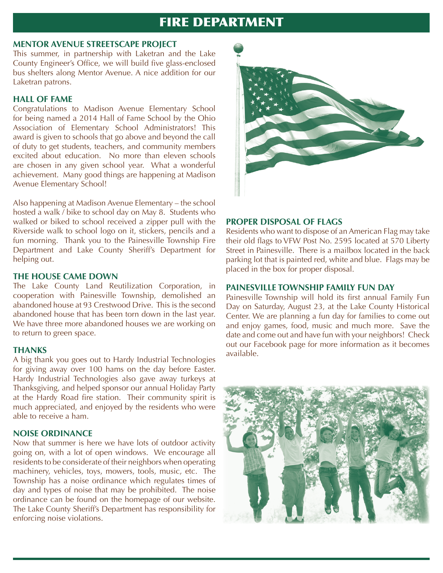## **FIRE DEPARTMENT**

#### **MENTOR AVENUE STREETSCAPE PROJECT**

This summer, in partnership with Laketran and the Lake County Engineer's Office, we will build five glass-enclosed bus shelters along Mentor Avenue. A nice addition for our Laketran patrons.

#### **HALL OF FAME**

Congratulations to Madison Avenue Elementary School for being named a 2014 Hall of Fame School by the Ohio Association of Elementary School Administrators! This award is given to schools that go above and beyond the call of duty to get students, teachers, and community members excited about education. No more than eleven schools are chosen in any given school year. What a wonderful achievement. Many good things are happening at Madison Avenue Elementary School!

Also happening at Madison Avenue Elementary – the school hosted a walk / bike to school day on May 8. Students who walked or biked to school received a zipper pull with the Riverside walk to school logo on it, stickers, pencils and a fun morning. Thank you to the Painesville Township Fire Department and Lake County Sheriff's Department for helping out.

#### **THE HOUSE CAME DOWN**

The Lake County Land Reutilization Corporation, in cooperation with Painesville Township, demolished an abandoned house at 93 Crestwood Drive. This is the second abandoned house that has been torn down in the last year. We have three more abandoned houses we are working on to return to green space.

#### **THANKS**

A big thank you goes out to Hardy Industrial Technologies for giving away over 100 hams on the day before Easter. Hardy Industrial Technologies also gave away turkeys at Thanksgiving, and helped sponsor our annual Holiday Party at the Hardy Road fire station. Their community spirit is much appreciated, and enjoyed by the residents who were able to receive a ham.

#### **NOISE ORDINANCE**

Now that summer is here we have lots of outdoor activity going on, with a lot of open windows. We encourage all residents to be considerate of their neighbors when operating machinery, vehicles, toys, mowers, tools, music, etc. The Township has a noise ordinance which regulates times of day and types of noise that may be prohibited. The noise ordinance can be found on the homepage of our website. The Lake County Sheriff's Department has responsibility for enforcing noise violations.



#### **PROPER DISPOSAL OF FLAGS**

Residents who want to dispose of an American Flag may take their old flags to VFW Post No. 2595 located at 570 Liberty Street in Painesville. There is a mailbox located in the back parking lot that is painted red, white and blue. Flags may be placed in the box for proper disposal.

#### **PAINESVILLE TOWNSHIP FAMILY FUN DAY**

Painesville Township will hold its first annual Family Fun Day on Saturday, August 23, at the Lake County Historical Center. We are planning a fun day for families to come out and enjoy games, food, music and much more. Save the date and come out and have fun with your neighbors! Check out our Facebook page for more information as it becomes available.